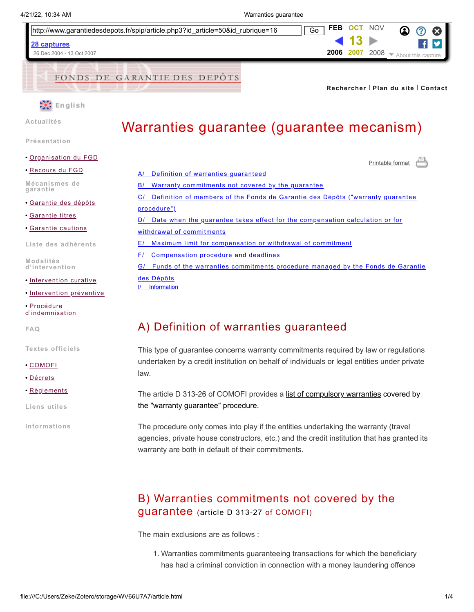



**※** English

**[Actualités](https://web.archive.org/web/20071013040107/http://www.garantiedesdepots.fr/spip/rubrique.php3?id_rubrique=4)**

**[Présentation](https://web.archive.org/web/20071013040107/http://www.garantiedesdepots.fr/spip/rubrique.php3?id_rubrique=5)**

- **•** [Organisation](https://web.archive.org/web/20071013040107/http://www.garantiedesdepots.fr/spip/article.php3?id_article=9&id_rubrique=5) du FGD
- **•** [Recours](https://web.archive.org/web/20071013040107/http://www.garantiedesdepots.fr/spip/article.php3?id_article=10&id_rubrique=5) du FGD

**[Mécanismes](https://web.archive.org/web/20071013040107/http://www.garantiedesdepots.fr/spip/rubrique.php3?id_rubrique=6) de garantie**

**•** [Garantie](https://web.archive.org/web/20071013040107/http://www.garantiedesdepots.fr/spip/article.php3?id_article=6&id_rubrique=6) des dépôts

**•** [Garantie](https://web.archive.org/web/20071013040107/http://www.garantiedesdepots.fr/spip/article.php3?id_article=7&id_rubrique=6) titres

**•** [Garantie](https://web.archive.org/web/20071013040107/http://www.garantiedesdepots.fr/spip/article.php3?id_article=8&id_rubrique=6) cautions

**Liste des [adhérents](https://web.archive.org/web/20071013040107/http://www.garantiedesdepots.fr/spip/rubrique.php3?id_rubrique=7)**

**Modalités [d'intervention](https://web.archive.org/web/20071013040107/http://www.garantiedesdepots.fr/spip/rubrique.php3?id_rubrique=8)**

- **•** [Intervention](https://web.archive.org/web/20071013040107/http://www.garantiedesdepots.fr/spip/article.php3?id_article=12&id_rubrique=8) curative
- **•** [Intervention](https://web.archive.org/web/20071013040107/http://www.garantiedesdepots.fr/spip/article.php3?id_article=13&id_rubrique=8) préventive

**•** Procédure [d'indemnisation](https://web.archive.org/web/20071013040107/http://www.garantiedesdepots.fr/spip/article.php3?id_article=14&id_rubrique=8)

**[FAQ](https://web.archive.org/web/20071013040107/http://www.garantiedesdepots.fr/spip/rubrique.php3?id_rubrique=9)**

**Textes [officiels](https://web.archive.org/web/20071013040107/http://www.garantiedesdepots.fr/spip/rubrique.php3?id_rubrique=10)**

- **•** [COMOFI](https://web.archive.org/web/20071013040107/http://www.garantiedesdepots.fr/spip/article.php3?id_article=16&id_rubrique=10)
- **•** [Décrets](https://web.archive.org/web/20071013040107/http://www.garantiedesdepots.fr/spip/article.php3?id_article=17&id_rubrique=10)
- **•** [Règlements](https://web.archive.org/web/20071013040107/http://www.garantiedesdepots.fr/spip/article.php3?id_article=18&id_rubrique=10)

**Liens [utiles](https://web.archive.org/web/20071013040107/http://www.garantiedesdepots.fr/spip/rubrique.php3?id_rubrique=11)**

**[Informations](https://web.archive.org/web/20071013040107/http://www.garantiedesdepots.fr/spip/rubrique.php3?id_rubrique=23)**

# Warranties guarantee (guarantee mecanism)

**[Rechercher](https://web.archive.org/web/20071013040107/http://www.garantiedesdepots.fr/spip/recherche.php3)** I **[Plan](https://web.archive.org/web/20071013040107/http://www.garantiedesdepots.fr/spip/plan.php3) du site** I **[Contact](https://web.archive.org/web/20071013040107/mailto:contact@garantiedesdepots.fr)**

<span id="page-0-0"></span>[Printable format](https://web.archive.org/web/20071013040107/http://www.garantiedesdepots.fr/spip/article.php3?id_article=50.php?print=ok) A/ Definition of warranties [guaranteed](#page-0-0) B/ Warranty [commitments](#page-0-1) not covered by the guarantee C/ Definition of members of the Fonds de Garantie des Dépôts ("warranty guarantee [procedure"\)](#page-1-0) D/ Date when the guarantee takes effect for the compensation calculation or for withdrawal of commitments E/ Maximum limit for [compensation](#page-1-1) or withdrawal of commitment F/ [Compensation](#page-2-0) procedure and deadlines G/ Funds of the warranties [commitments](#page-2-1) procedure managed by the Fonds de Garantie des Dépôts [I/ Information](https://web.archive.org/web/20071013040107/http://www.garantiedesdepots.fr/spip/information)

## A) Definition of warranties guaranteed

This type of guarantee concerns warranty commitments required by law or regulations undertaken by a credit institution on behalf of individuals or legal entities under private law.

The article D 313-26 of COMOFI provides a [list of compulsory warranties](https://web.archive.org/web/20071013040107/http://www.garantiedesdepots.fr/spip/decrets_99_776.php#Chapitre_Ier) covered by the "warranty guarantee" procedure.

The procedure only comes into play if the entities undertaking the warranty (travel agencies, private house constructors, etc.) and the credit institution that has granted its warranty are both in default of their commitments.

### <span id="page-0-1"></span>B) Warranties commitments not covered by the guarantee (article <sup>D</sup> [313-27](https://web.archive.org/web/20071013040107/http://www.garantiedesdepots.fr/spip/decrets_99_776.php#article_2) of COMOFI)

The main exclusions are as follows :

1. Warranties commitments guaranteeing transactions for which the beneficiary has had a criminal conviction in connection with a money laundering offence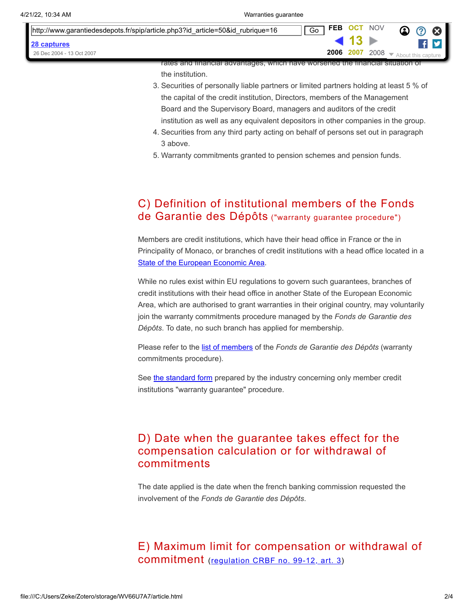| http://www.garantiedesdepots.fr/spip/article.php3?id article=50&id rubrique=16 | Go |  | FEB OCT NOV | $\bullet$ $\circ$ $\circ$                              |  |
|--------------------------------------------------------------------------------|----|--|-------------|--------------------------------------------------------|--|
| 28 captures                                                                    |    |  |             |                                                        |  |
| 26 Dec 2004 - 13 Oct 2007                                                      |    |  |             | 2006 2007 2008 $\blacktriangledown$ About this capture |  |
| rates and financial advantages, which have worsened the financial situation of |    |  |             |                                                        |  |

the institution.

- 3. Securities of personally liable partners or limited partners holding at least 5 % of the capital of the credit institution, Directors, members of the Management Board and the Supervisory Board, managers and auditors of the credit institution as well as any equivalent depositors in other companies in the group.
- 4. Securities from any third party acting on behalf of persons set out in paragraph 3 above.
- <span id="page-1-0"></span>5. Warranty commitments granted to pension schemes and pension funds.

#### C) Definition of institutional members of the Fonds de Garantie des Dépôts ("warranty guarantee procedure")

Members are credit institutions, which have their head office in France or the in Principality of Monaco, or branches of credit institutions with a head office located in a **[State of the European Economic Area.](https://web.archive.org/web/20071013040107/http://www.garantiedesdepots.fr/spip/depots.php#annexe1)** 

While no rules exist within EU regulations to govern such guarantees, branches of credit institutions with their head office in another State of the European Economic Area, which are authorised to grant warranties in their original country, may voluntarily join the warranty commitments procedure managed by the *Fonds de Garantie des Dépôts*. To date, no such branch has applied for membership.

Please refer to the [list of members](https://web.archive.org/web/20071013040107/http://www.garantiedesdepots.fr/spip/liste_adherents.php) of the *Fonds de Garantie des Dépôts* (warranty commitments procedure).

See [the standard form](https://web.archive.org/web/20071013040107/http://www.garantiedesdepots.fr/spip/pdf/brochure_gb.pdf) prepared by the industry concerning only member credit institutions "warranty guarantee" procedure.

### D) Date when the guarantee takes effect for the compensation calculation or for withdrawal of commitments

<span id="page-1-1"></span>The date applied is the date when the french banking commission requested the involvement of the *Fonds de Garantie des Dépôts*.

#### E) Maximum limit for compensation or withdrawal of commitment ([regulation](https://web.archive.org/web/20071013040107/http://www.garantiedesdepots.fr/spip/reglements_99_12.php#article_3) CRBF no. 99-12, art. 3)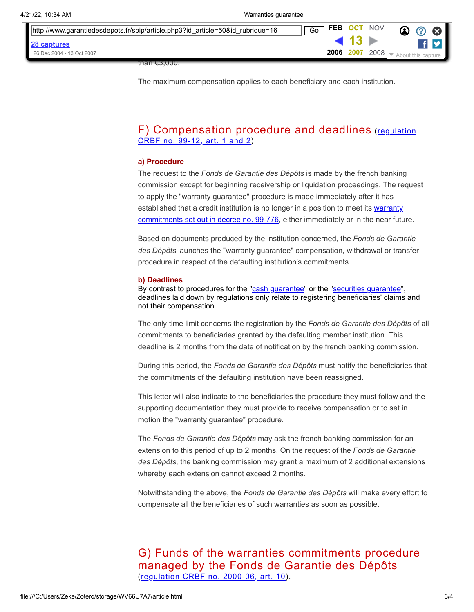| http://www.garantiedesdepots.fr/spip/article.php3?id article=50&id rubrique=16 | FEB<br>Go | OCT NOV   |      | $\boldsymbol{\Omega}$<br>$\boldsymbol{\Omega}$ |
|--------------------------------------------------------------------------------|-----------|-----------|------|------------------------------------------------|
| 128 captures                                                                   |           |           |      |                                                |
| 26 Dec 2004 - 13 Oct 2007                                                      |           | 2006 2007 | 2008 |                                                |
| $\eta$                                                                         |           |           |      |                                                |

than €3,000.

<span id="page-2-0"></span>The maximum compensation applies to each beneficiary and each institution.

#### F) [Compensation](https://web.archive.org/web/20071013040107/http://www.garantiedesdepots.fr/spip/reglements_99_12.php) procedure and deadlines (regulation CRBF no. 99-12, art. 1 and 2)

#### **a) Procedure**

The request to the *Fonds de Garantie des Dépôts* is made by the french banking commission except for beginning receivership or liquidation proceedings. The request to apply the "warranty guarantee" procedure is made immediately after it has established that a credit institution is no longer in a position to meet its warranty [commitments set out in decree no. 99-776, either immediately or in the near futu](https://web.archive.org/web/20071013040107/http://www.garantiedesdepots.fr/spip/decrets_99_776.php)re.

Based on documents produced by the institution concerned, the *Fonds de Garantie des Dépôts* launches the "warranty guarantee" compensation, withdrawal or transfer procedure in respect of the defaulting institution's commitments.

#### **b) Deadlines**

By contrast to procedures for the "[cash guarantee](https://web.archive.org/web/20071013040107/http://www.garantiedesdepots.fr/spip/depots.php)" or the ["securities guarantee](https://web.archive.org/web/20071013040107/http://www.garantiedesdepots.fr/spip/titres.php)", deadlines laid down by regulations only relate to registering beneficiaries' claims and not their compensation.

The only time limit concerns the registration by the *Fonds de Garantie des Dépôts* of all commitments to beneficiaries granted by the defaulting member institution. This deadline is 2 months from the date of notification by the french banking commission.

During this period, the *Fonds de Garantie des Dépôts* must notify the beneficiaries that the commitments of the defaulting institution have been reassigned.

This letter will also indicate to the beneficiaries the procedure they must follow and the supporting documentation they must provide to receive compensation or to set in motion the "warranty guarantee" procedure.

The *Fonds de Garantie des Dépôts* may ask the french banking commission for an extension to this period of up to 2 months. On the request of the *Fonds de Garantie des Dépôts*, the banking commission may grant a maximum of 2 additional extensions whereby each extension cannot exceed 2 months.

<span id="page-2-1"></span>Notwithstanding the above, the *Fonds de Garantie des Dépôts* will make every effort to compensate all the beneficiaries of such warranties as soon as possible.

G) Funds of the warranties commitments procedure managed by the Fonds de Garantie des Dépôts ([regulation](https://web.archive.org/web/20071013040107/http://www.garantiedesdepots.fr/spip/reglements_00_06.php#titre3) CRBF no. 2000-06, art. 10).